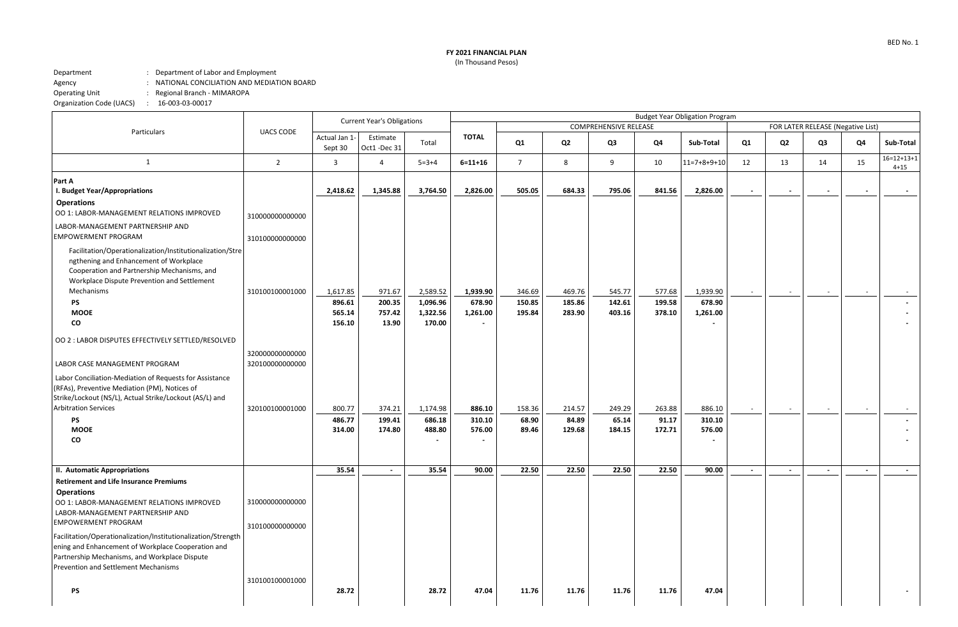## **FY 2021 FINANCIAL PLAN**

(In Thousand Pesos)

## Department : Department of Labor and Employment<br>Agency : NATIONAL CONCILIATION AND MEDIATI Agency : NATIONAL CONCILIATION AND MEDIATION BOARD<br>Operating Unit : Regional Branch - MIMAROPA : Regional Branch - MIMAROPA Organization Code (UACS) : 16-003-03-00017

|                                                                                                                                                                                                              | <b>UACS CODE</b>                   | <b>Current Year's Obligations</b> |                         |                          |                                    | <b>Budget Year Obligation Program</b> |                  |                  |                  |                    |                                   |                          |        |        |                          |
|--------------------------------------------------------------------------------------------------------------------------------------------------------------------------------------------------------------|------------------------------------|-----------------------------------|-------------------------|--------------------------|------------------------------------|---------------------------------------|------------------|------------------|------------------|--------------------|-----------------------------------|--------------------------|--------|--------|--------------------------|
| Particulars                                                                                                                                                                                                  |                                    |                                   |                         |                          |                                    | <b>COMPREHENSIVE RELEASE</b>          |                  |                  |                  |                    | FOR LATER RELEASE (Negative List) |                          |        |        |                          |
|                                                                                                                                                                                                              |                                    | Actual Jan 1-<br>Sept 30          | Estimate<br>Oct1-Dec 31 | Total                    | <b>TOTAL</b>                       | Q1                                    | Q2               | Q3               | Q4               | Sub-Total          | Q1                                | Q <sub>2</sub>           | Q3     | Q4     | Sub-Total                |
| 1                                                                                                                                                                                                            | $\overline{2}$                     | $\overline{3}$                    | $\overline{4}$          | $5 = 3 + 4$              | $6 = 11 + 16$                      | $\overline{7}$                        | 8                | 9                | 10               | $11=7+8+9+10$      | 12                                | 13                       | 14     | 15     | $16=12+13+1$<br>$4 + 15$ |
| Part A<br>I. Budget Year/Appropriations                                                                                                                                                                      |                                    | 2,418.62                          | 1,345.88                | 3,764.50                 | 2,826.00                           | 505.05                                | 684.33           | 795.06           | 841.56           | 2,826.00           | $\sim$                            | $\overline{\phantom{a}}$ |        |        |                          |
| <b>Operations</b><br>OO 1: LABOR-MANAGEMENT RELATIONS IMPROVED                                                                                                                                               | 310000000000000                    |                                   |                         |                          |                                    |                                       |                  |                  |                  |                    |                                   |                          |        |        |                          |
| LABOR-MANAGEMENT PARTNERSHIP AND<br><b>EMPOWERMENT PROGRAM</b>                                                                                                                                               | 310100000000000                    |                                   |                         |                          |                                    |                                       |                  |                  |                  |                    |                                   |                          |        |        |                          |
| Facilitation/Operationalization/Institutionalization/Stre<br>ngthening and Enhancement of Workplace<br>Cooperation and Partnership Mechanisms, and<br>Workplace Dispute Prevention and Settlement            |                                    |                                   |                         |                          |                                    |                                       |                  |                  |                  |                    |                                   |                          |        |        |                          |
| Mechanisms<br>PS                                                                                                                                                                                             | 310100100001000                    | 1,617.85<br>896.61                | 971.67<br>200.35        | 2,589.52<br>1,096.96     | 1,939.90<br>678.90                 | 346.69<br>150.85                      | 469.76<br>185.86 | 545.77<br>142.61 | 577.68<br>199.58 | 1,939.90<br>678.90 | $\sim$                            | $\sim$                   |        | $\sim$ |                          |
| <b>MOOE</b>                                                                                                                                                                                                  |                                    | 565.14                            | 757.42                  | 1,322.56                 | 1,261.00                           | 195.84                                | 283.90           | 403.16           | 378.10           | 1,261.00           |                                   |                          |        |        |                          |
| CO                                                                                                                                                                                                           |                                    | 156.10                            | 13.90                   | 170.00                   | $\overline{\phantom{0}}$           |                                       |                  |                  |                  |                    |                                   |                          |        |        |                          |
| OO 2 : LABOR DISPUTES EFFECTIVELY SETTLED/RESOLVED                                                                                                                                                           |                                    |                                   |                         |                          |                                    |                                       |                  |                  |                  |                    |                                   |                          |        |        |                          |
| LABOR CASE MANAGEMENT PROGRAM                                                                                                                                                                                | 320000000000000<br>320100000000000 |                                   |                         |                          |                                    |                                       |                  |                  |                  |                    |                                   |                          |        |        |                          |
| Labor Conciliation-Mediation of Requests for Assistance<br>(RFAs), Preventive Mediation (PM), Notices of<br>Strike/Lockout (NS/L), Actual Strike/Lockout (AS/L) and                                          |                                    |                                   |                         |                          |                                    |                                       |                  |                  |                  |                    |                                   |                          |        |        |                          |
| <b>Arbitration Services</b>                                                                                                                                                                                  | 320100100001000                    | 800.77                            | 374.21                  | 1,174.98                 | 886.10                             | 158.36                                | 214.57           | 249.29           | 263.88           | 886.10             | $\sim$                            | $\sim$                   |        |        |                          |
| PS                                                                                                                                                                                                           |                                    | 486.77                            | 199.41                  | 686.18                   | 310.10                             | 68.90                                 | 84.89            | 65.14            | 91.17            | 310.10             |                                   |                          |        |        |                          |
| <b>MOOE</b><br>CO                                                                                                                                                                                            |                                    | 314.00                            | 174.80                  | 488.80<br>$\blacksquare$ | 576.00<br>$\overline{\phantom{a}}$ | 89.46                                 | 129.68           | 184.15           | 172.71           | 576.00             |                                   |                          |        |        |                          |
|                                                                                                                                                                                                              |                                    |                                   |                         |                          |                                    |                                       |                  |                  |                  |                    |                                   |                          |        |        |                          |
| II. Automatic Appropriations                                                                                                                                                                                 |                                    | 35.54                             | $\sim$                  | 35.54                    | 90.00                              | 22.50                                 | 22.50            | 22.50            | 22.50            | 90.00              | $\sim$                            | $\sim$                   | $\sim$ | $\sim$ | $\sim$                   |
| <b>Retirement and Life Insurance Premiums</b><br><b>Operations</b>                                                                                                                                           |                                    |                                   |                         |                          |                                    |                                       |                  |                  |                  |                    |                                   |                          |        |        |                          |
| OO 1: LABOR-MANAGEMENT RELATIONS IMPROVED                                                                                                                                                                    | 310000000000000                    |                                   |                         |                          |                                    |                                       |                  |                  |                  |                    |                                   |                          |        |        |                          |
| LABOR-MANAGEMENT PARTNERSHIP AND<br><b>EMPOWERMENT PROGRAM</b>                                                                                                                                               | 310100000000000                    |                                   |                         |                          |                                    |                                       |                  |                  |                  |                    |                                   |                          |        |        |                          |
| Facilitation/Operationalization/Institutionalization/Strength<br>ening and Enhancement of Workplace Cooperation and<br>Partnership Mechanisms, and Workplace Dispute<br>Prevention and Settlement Mechanisms |                                    |                                   |                         |                          |                                    |                                       |                  |                  |                  |                    |                                   |                          |        |        |                          |
| PS                                                                                                                                                                                                           | 310100100001000                    | 28.72                             |                         | 28.72                    | 47.04                              | 11.76                                 | 11.76            | 11.76            | 11.76            | 47.04              |                                   |                          |        |        |                          |